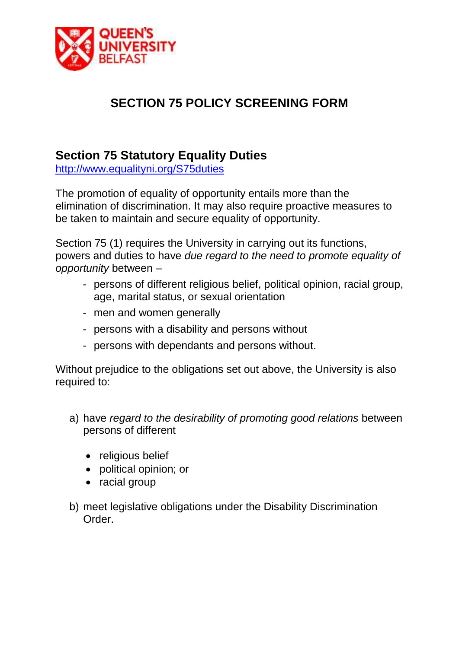

# **SECTION 75 POLICY SCREENING FORM**

# **Section 75 Statutory Equality Duties**

<http://www.equalityni.org/S75duties>

The promotion of equality of opportunity entails more than the elimination of discrimination. It may also require proactive measures to be taken to maintain and secure equality of opportunity.

Section 75 (1) requires the University in carrying out its functions, powers and duties to have *due regard to the need to promote equality of opportunity* between –

- persons of different religious belief, political opinion, racial group, age, marital status, or sexual orientation
- men and women generally
- persons with a disability and persons without
- persons with dependants and persons without.

Without prejudice to the obligations set out above, the University is also required to:

- a) have *regard to the desirability of promoting good relations* between persons of different
	- religious belief
	- political opinion; or
	- racial group
- b) meet legislative obligations under the Disability Discrimination Order.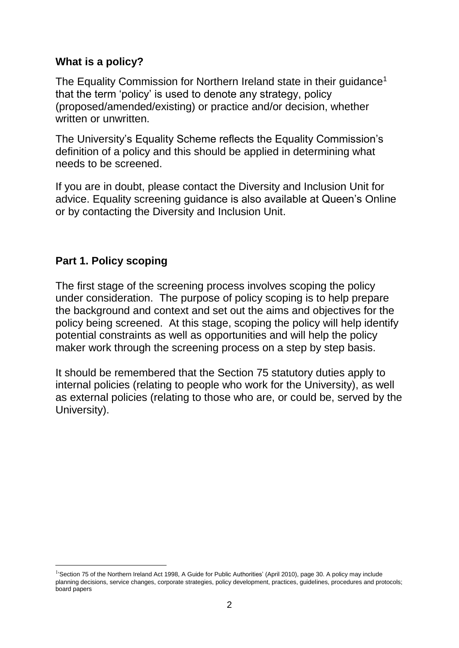#### **What is a policy?**

The Equality Commission for Northern Ireland state in their quidance<sup>1</sup> that the term 'policy' is used to denote any strategy, policy (proposed/amended/existing) or practice and/or decision, whether written or unwritten.

The University's Equality Scheme reflects the Equality Commission's definition of a policy and this should be applied in determining what needs to be screened.

If you are in doubt, please contact the Diversity and Inclusion Unit for advice. Equality screening guidance is also available at Queen's Online or by contacting the Diversity and Inclusion Unit.

#### **Part 1. Policy scoping**

The first stage of the screening process involves scoping the policy under consideration. The purpose of policy scoping is to help prepare the background and context and set out the aims and objectives for the policy being screened. At this stage, scoping the policy will help identify potential constraints as well as opportunities and will help the policy maker work through the screening process on a step by step basis.

It should be remembered that the Section 75 statutory duties apply to internal policies (relating to people who work for the University), as well as external policies (relating to those who are, or could be, served by the University).

<sup>1</sup> <sup>1</sup>'Section 75 of the Northern Ireland Act 1998, A Guide for Public Authorities' (April 2010), page 30. A policy may include planning decisions, service changes, corporate strategies, policy development, practices, guidelines, procedures and protocols; board papers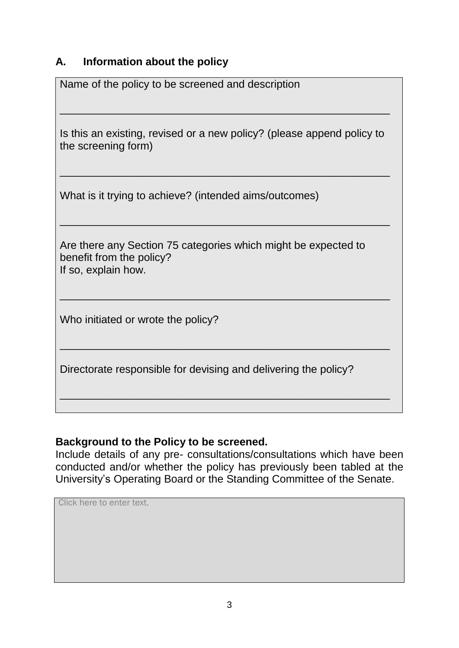### **A. Information about the policy**

| Name of the policy to be screened and description                                                                 |
|-------------------------------------------------------------------------------------------------------------------|
| Is this an existing, revised or a new policy? (please append policy to<br>the screening form)                     |
| What is it trying to achieve? (intended aims/outcomes)                                                            |
| Are there any Section 75 categories which might be expected to<br>benefit from the policy?<br>If so, explain how. |
| Who initiated or wrote the policy?                                                                                |
| Directorate responsible for devising and delivering the policy?                                                   |
|                                                                                                                   |

### **Background to the Policy to be screened.**

Include details of any pre- consultations/consultations which have been conducted and/or whether the policy has previously been tabled at the University's Operating Board or the Standing Committee of the Senate.

Click here to enter text.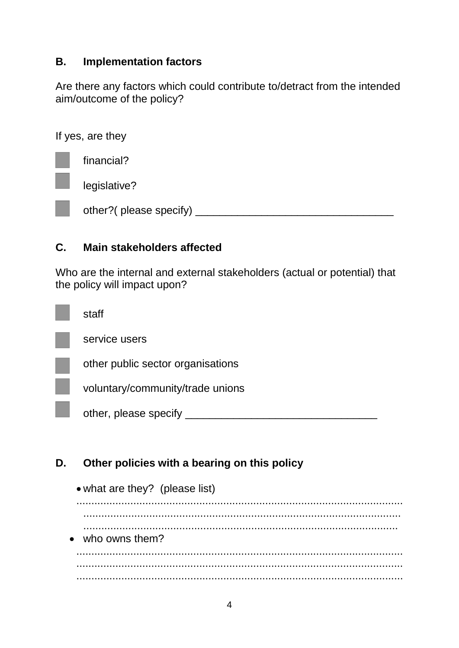## **B. Implementation factors**

Are there any factors which could contribute to/detract from the intended aim/outcome of the policy?

If yes, are they

financial? legislative? other?( please specify) \_\_\_\_\_\_\_\_\_\_\_\_\_\_\_\_\_\_\_\_\_\_\_\_\_\_\_\_\_\_\_\_\_

## **C. Main stakeholders affected**

Who are the internal and external stakeholders (actual or potential) that the policy will impact upon?

| staff                             |
|-----------------------------------|
| service users                     |
| other public sector organisations |
| voluntary/community/trade unions  |
| other, please specify             |
|                                   |

# **D. Other policies with a bearing on this policy**

|     |                  | • what are they? (please list) |  |  |  |
|-----|------------------|--------------------------------|--|--|--|
| . . |                  |                                |  |  |  |
|     | • who owns them? |                                |  |  |  |
|     |                  |                                |  |  |  |
| .   |                  |                                |  |  |  |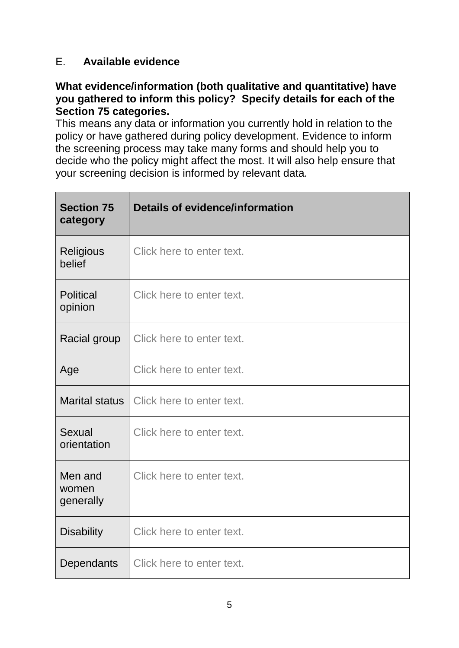## E. **Available evidence**

#### **What evidence/information (both qualitative and quantitative) have you gathered to inform this policy? Specify details for each of the Section 75 categories.**

This means any data or information you currently hold in relation to the policy or have gathered during policy development. Evidence to inform the screening process may take many forms and should help you to decide who the policy might affect the most. It will also help ensure that your screening decision is informed by relevant data.

| <b>Section 75</b><br>category | <b>Details of evidence/information</b> |
|-------------------------------|----------------------------------------|
| Religious<br>belief           | Click here to enter text.              |
| <b>Political</b><br>opinion   | Click here to enter text.              |
| Racial group                  | Click here to enter text.              |
| Age                           | Click here to enter text.              |
| <b>Marital status</b>         | Click here to enter text.              |
| Sexual<br>orientation         | Click here to enter text.              |
| Men and<br>women<br>generally | Click here to enter text.              |
| <b>Disability</b>             | Click here to enter text.              |
| Dependants                    | Click here to enter text.              |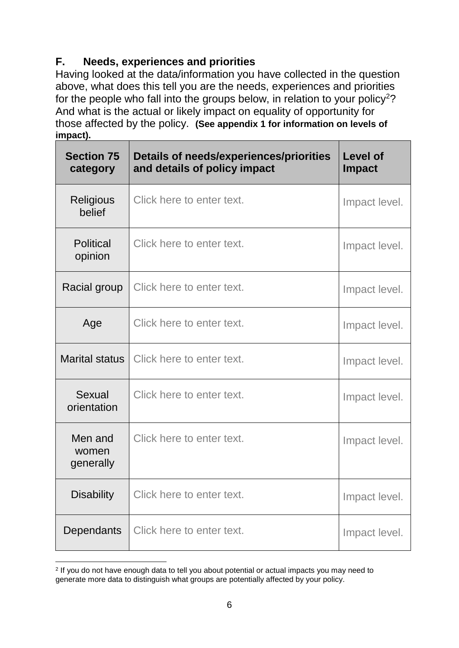# **F. Needs, experiences and priorities**

Having looked at the data/information you have collected in the question above, what does this tell you are the needs, experiences and priorities for the people who fall into the groups below, in relation to your policy<sup>2</sup>? And what is the actual or likely impact on equality of opportunity for those affected by the policy. **(See appendix 1 for information on levels of impact).**

| <b>Section 75</b><br>category | Details of needs/experiences/priorities<br>and details of policy impact | <b>Level of</b><br><b>Impact</b> |
|-------------------------------|-------------------------------------------------------------------------|----------------------------------|
| <b>Religious</b><br>belief    | Click here to enter text.                                               | Impact level.                    |
| <b>Political</b><br>opinion   | Click here to enter text.                                               | Impact level.                    |
| Racial group                  | Click here to enter text.                                               | Impact level.                    |
| Age                           | Click here to enter text.                                               | Impact level.                    |
| <b>Marital status</b>         | Click here to enter text.                                               | Impact level.                    |
| Sexual<br>orientation         | Click here to enter text.                                               | Impact level.                    |
| Men and<br>women<br>generally | Click here to enter text.                                               | Impact level.                    |
| <b>Disability</b>             | Click here to enter text.                                               | Impact level.                    |
| Dependants                    | Click here to enter text.                                               | Impact level.                    |

<sup>1</sup> 2 If you do not have enough data to tell you about potential or actual impacts you may need to generate more data to distinguish what groups are potentially affected by your policy.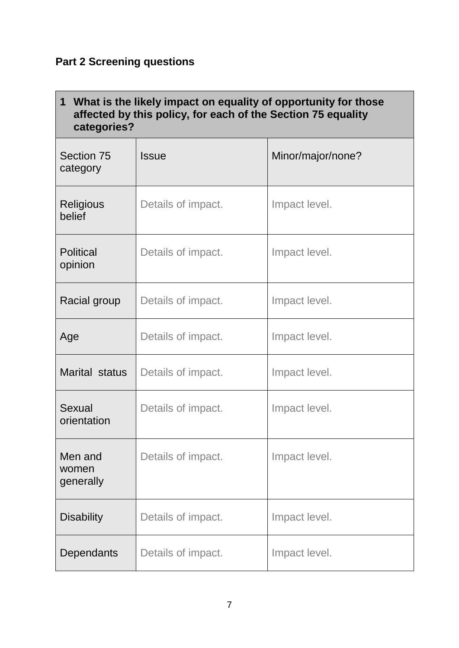# **Part 2 Screening questions**

| $\mathbf 1$<br>What is the likely impact on equality of opportunity for those<br>affected by this policy, for each of the Section 75 equality<br>categories? |                    |                   |  |  |
|--------------------------------------------------------------------------------------------------------------------------------------------------------------|--------------------|-------------------|--|--|
| Section 75<br>category                                                                                                                                       | <b>Issue</b>       | Minor/major/none? |  |  |
| <b>Religious</b><br>belief                                                                                                                                   | Details of impact. | Impact level.     |  |  |
| <b>Political</b><br>opinion                                                                                                                                  | Details of impact. | Impact level.     |  |  |
| Racial group                                                                                                                                                 | Details of impact. | Impact level.     |  |  |
| Age                                                                                                                                                          | Details of impact. | Impact level.     |  |  |
| Marital status                                                                                                                                               | Details of impact. | Impact level.     |  |  |
| Sexual<br>orientation                                                                                                                                        | Details of impact. | Impact level.     |  |  |
| Men and<br>women<br>generally                                                                                                                                | Details of impact. | Impact level.     |  |  |
| <b>Disability</b>                                                                                                                                            | Details of impact. | Impact level.     |  |  |
| Dependants                                                                                                                                                   | Details of impact. | Impact level.     |  |  |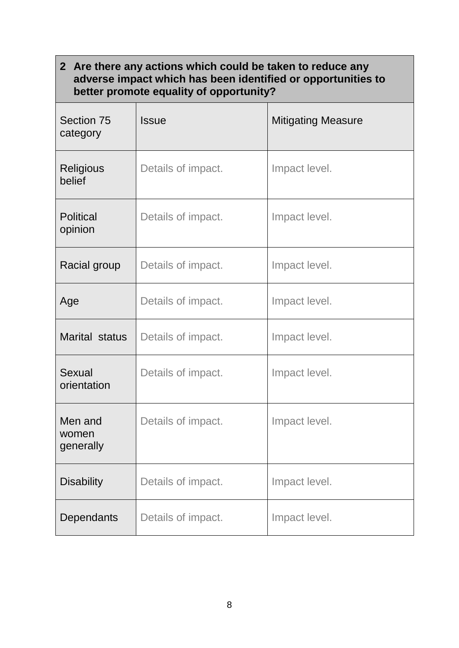## **2 Are there any actions which could be taken to reduce any adverse impact which has been identified or opportunities to better promote equality of opportunity?**

| Section 75<br>category        | <b>Issue</b>       | <b>Mitigating Measure</b> |
|-------------------------------|--------------------|---------------------------|
| <b>Religious</b><br>belief    | Details of impact. | Impact level.             |
| <b>Political</b><br>opinion   | Details of impact. | Impact level.             |
| Racial group                  | Details of impact. | Impact level.             |
| Age                           | Details of impact. | Impact level.             |
| Marital status                | Details of impact. | Impact level.             |
| Sexual<br>orientation         | Details of impact. | Impact level.             |
| Men and<br>women<br>generally | Details of impact. | Impact level.             |
| <b>Disability</b>             | Details of impact. | Impact level.             |
| <b>Dependants</b>             | Details of impact. | Impact level.             |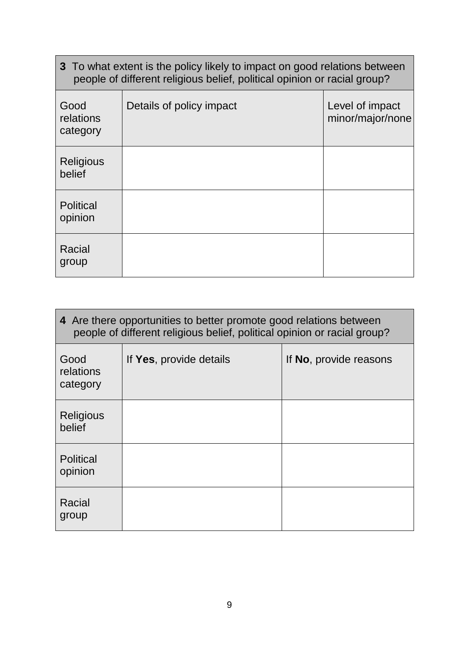| 3 To what extent is the policy likely to impact on good relations between<br>people of different religious belief, political opinion or racial group? |                          |                                     |  |
|-------------------------------------------------------------------------------------------------------------------------------------------------------|--------------------------|-------------------------------------|--|
| Good<br>relations<br>category                                                                                                                         | Details of policy impact | Level of impact<br>minor/major/none |  |
| Religious<br>belief                                                                                                                                   |                          |                                     |  |
| <b>Political</b><br>opinion                                                                                                                           |                          |                                     |  |
| Racial<br>group                                                                                                                                       |                          |                                     |  |

| 4 Are there opportunities to better promote good relations between<br>people of different religious belief, political opinion or racial group? |                         |                        |  |
|------------------------------------------------------------------------------------------------------------------------------------------------|-------------------------|------------------------|--|
| Good<br>relations<br>category                                                                                                                  | If Yes, provide details | If No, provide reasons |  |
| Religious<br>belief                                                                                                                            |                         |                        |  |
| <b>Political</b><br>opinion                                                                                                                    |                         |                        |  |
| Racial<br>group                                                                                                                                |                         |                        |  |

۰

 $\mathbf{r}$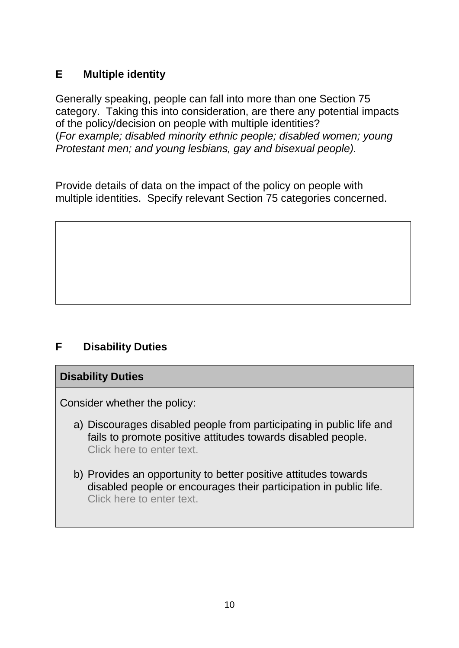## **E Multiple identity**

Generally speaking, people can fall into more than one Section 75 category. Taking this into consideration, are there any potential impacts of the policy/decision on people with multiple identities? (*For example; disabled minority ethnic people; disabled women; young Protestant men; and young lesbians, gay and bisexual people).*

Provide details of data on the impact of the policy on people with multiple identities. Specify relevant Section 75 categories concerned.

# **F Disability Duties**

#### **Disability Duties**

Consider whether the policy:

- a) Discourages disabled people from participating in public life and fails to promote positive attitudes towards disabled people. Click here to enter text.
- b) Provides an opportunity to better positive attitudes towards disabled people or encourages their participation in public life. Click here to enter text.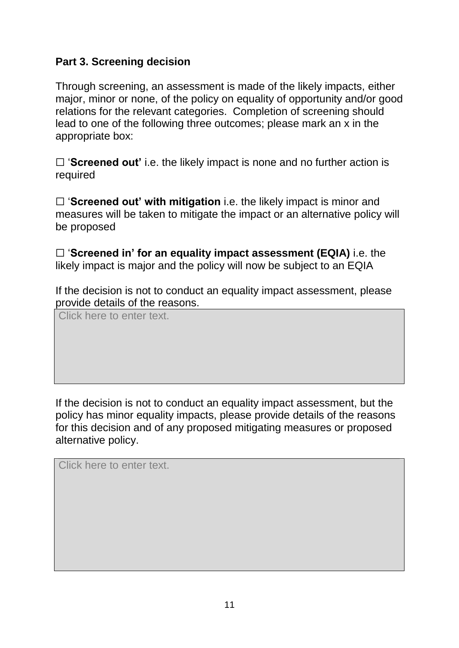## **Part 3. Screening decision**

Through screening, an assessment is made of the likely impacts, either major, minor or none, of the policy on equality of opportunity and/or good relations for the relevant categories. Completion of screening should lead to one of the following three outcomes; please mark an x in the appropriate box:

☐ '**Screened out'** i.e. the likely impact is none and no further action is required

□ 'Screened out' with mitigation i.e. the likely impact is minor and measures will be taken to mitigate the impact or an alternative policy will be proposed

☐ '**Screened in' for an equality impact assessment (EQIA)** i.e. the likely impact is major and the policy will now be subject to an EQIA

If the decision is not to conduct an equality impact assessment, please provide details of the reasons.

Click here to enter text.

If the decision is not to conduct an equality impact assessment, but the policy has minor equality impacts, please provide details of the reasons for this decision and of any proposed mitigating measures or proposed alternative policy.

Click here to enter text.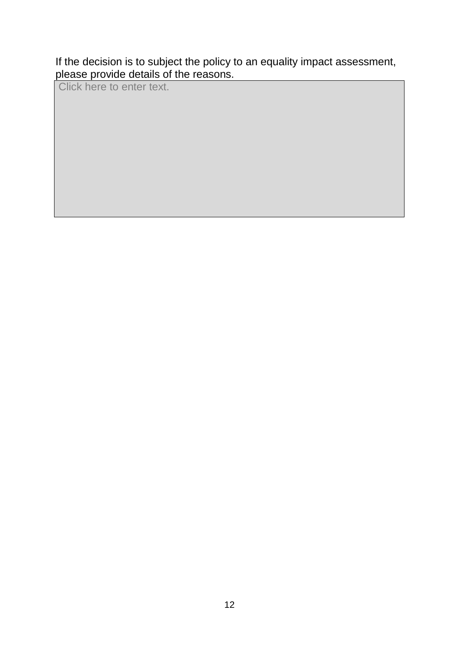If the decision is to subject the policy to an equality impact assessment, please provide details of the reasons.

Click here to enter text.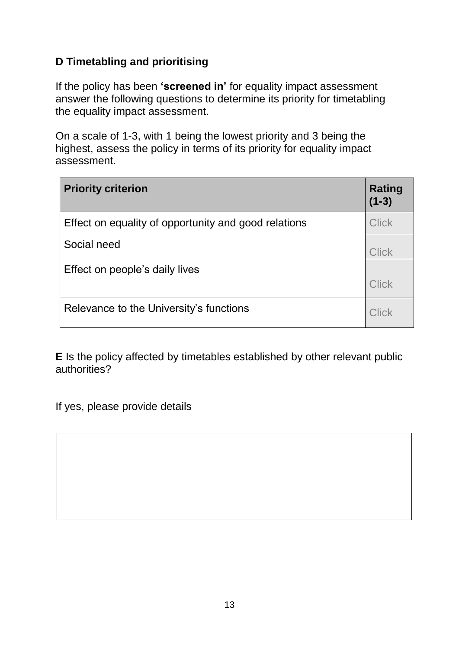# **D Timetabling and prioritising**

If the policy has been **'screened in'** for equality impact assessment answer the following questions to determine its priority for timetabling the equality impact assessment.

On a scale of 1-3, with 1 being the lowest priority and 3 being the highest, assess the policy in terms of its priority for equality impact assessment.

| <b>Priority criterion</b>                            | <b>Rating</b><br>$(1-3)$ |
|------------------------------------------------------|--------------------------|
| Effect on equality of opportunity and good relations | <b>Click</b>             |
| Social need                                          | <b>Click</b>             |
| Effect on people's daily lives                       | <b>Click</b>             |
| Relevance to the University's functions              | Click                    |

**E** Is the policy affected by timetables established by other relevant public authorities?

If yes, please provide details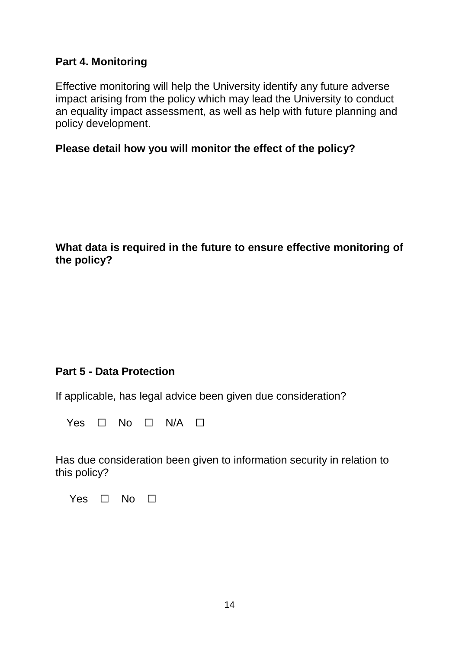#### **Part 4. Monitoring**

Effective monitoring will help the University identify any future adverse impact arising from the policy which may lead the University to conduct an equality impact assessment, as well as help with future planning and policy development.

#### **Please detail how you will monitor the effect of the policy?**

#### **What data is required in the future to ensure effective monitoring of the policy?**

#### **Part 5 - Data Protection**

If applicable, has legal advice been given due consideration?

Yes  $\Box$  No  $\Box$  N/A  $\Box$ 

Has due consideration been given to information security in relation to this policy?

Yes  $\Box$  No  $\Box$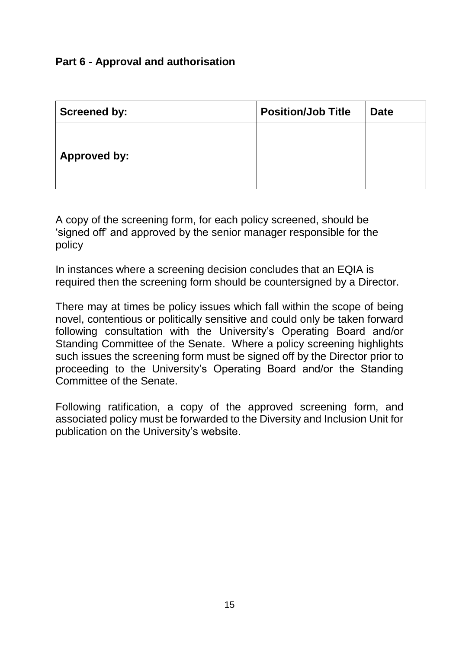## **Part 6 - Approval and authorisation**

| <b>Screened by:</b> | <b>Position/Job Title</b> | <b>Date</b> |
|---------------------|---------------------------|-------------|
|                     |                           |             |
| <b>Approved by:</b> |                           |             |
|                     |                           |             |

A copy of the screening form, for each policy screened, should be 'signed off' and approved by the senior manager responsible for the policy

In instances where a screening decision concludes that an EQIA is required then the screening form should be countersigned by a Director.

There may at times be policy issues which fall within the scope of being novel, contentious or politically sensitive and could only be taken forward following consultation with the University's Operating Board and/or Standing Committee of the Senate. Where a policy screening highlights such issues the screening form must be signed off by the Director prior to proceeding to the University's Operating Board and/or the Standing Committee of the Senate.

Following ratification, a copy of the approved screening form, and associated policy must be forwarded to the Diversity and Inclusion Unit for publication on the University's website.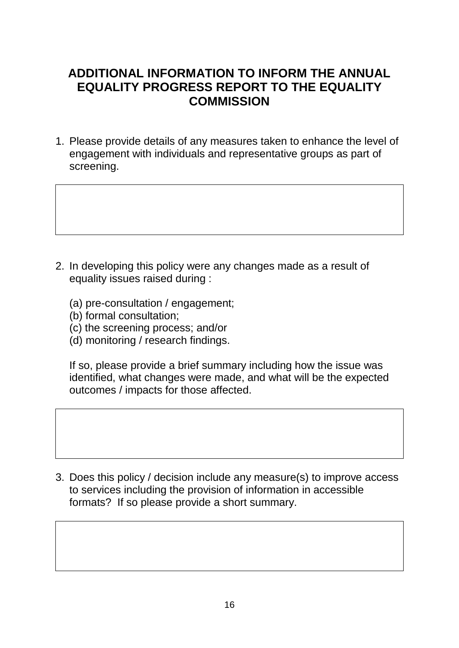# **ADDITIONAL INFORMATION TO INFORM THE ANNUAL EQUALITY PROGRESS REPORT TO THE EQUALITY COMMISSION**

1. Please provide details of any measures taken to enhance the level of engagement with individuals and representative groups as part of screening.

- 2. In developing this policy were any changes made as a result of equality issues raised during :
	- (a) pre-consultation / engagement;
	- (b) formal consultation;
	- (c) the screening process; and/or
	- (d) monitoring / research findings.

If so, please provide a brief summary including how the issue was identified, what changes were made, and what will be the expected outcomes / impacts for those affected.

3. Does this policy / decision include any measure(s) to improve access to services including the provision of information in accessible formats? If so please provide a short summary.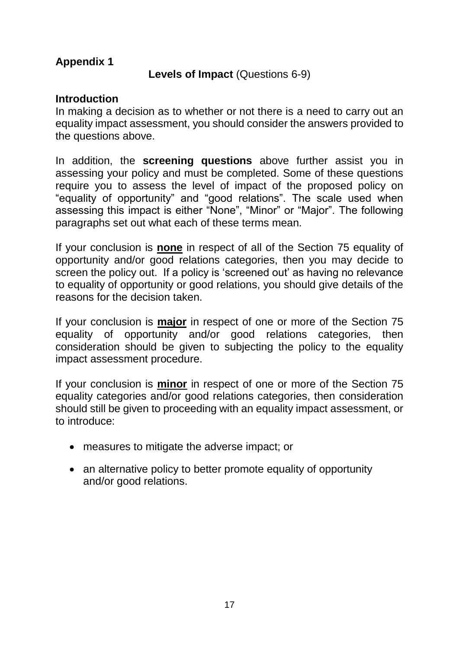## **Appendix 1**

#### **Levels of Impact** (Questions 6-9)

#### **Introduction**

In making a decision as to whether or not there is a need to carry out an equality impact assessment, you should consider the answers provided to the questions above.

In addition, the **screening questions** above further assist you in assessing your policy and must be completed. Some of these questions require you to assess the level of impact of the proposed policy on "equality of opportunity" and "good relations". The scale used when assessing this impact is either "None", "Minor" or "Major". The following paragraphs set out what each of these terms mean.

If your conclusion is **none** in respect of all of the Section 75 equality of opportunity and/or good relations categories, then you may decide to screen the policy out. If a policy is 'screened out' as having no relevance to equality of opportunity or good relations, you should give details of the reasons for the decision taken.

If your conclusion is **major** in respect of one or more of the Section 75 equality of opportunity and/or good relations categories, then consideration should be given to subjecting the policy to the equality impact assessment procedure.

If your conclusion is **minor** in respect of one or more of the Section 75 equality categories and/or good relations categories, then consideration should still be given to proceeding with an equality impact assessment, or to introduce:

- measures to mitigate the adverse impact; or
- an alternative policy to better promote equality of opportunity and/or good relations.